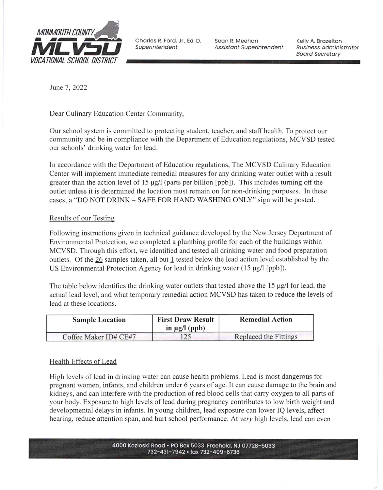

Superintendent

Seon R. Meehon Assistant Superintendent Kelly A. Brozelton Eusiness Administrotor Boord Secretory

June 7, 2022

Dear Culinary Education Center Community,

Our school system is committed to protecting student, teacher, and staff health. To protect our community and be in compliance with the Department of Education regulations, MCVSD tested our schools' drinking water for lead.

In accordance with the Department of Education regulations, The MCVSD Culinary Education Center will implement immediate remedial measures for any drinking water outlet with a result greater than the action level of 15  $\mu$ g/l (parts per billion [ppb]). This includes turning off the outlet unless it is determined the location must remain on for non-drinking purposes. In these cases, a "DO NOT DRINK - SAFE FOR HAND WASHING ONLY" sign will be posted.

# Results of our Testins

Following instructions given in technical guidance developed by the New Jersey Department of Environmental Protection, we completed a plumbing profile for each of the buildings within MCVSD. Through this effort, we identified and tested all drinking water and food preparation outlets. Of the 26 samples taken, all but I tested below the lead action level established by the US Environmental Protection Agency for lead in drinking water  $(15 \mu g / \text{[ppb]})$ .

The table below identifies the drinking water outlets that tested above the  $15 \mu g/l$  for lead, the actual lead level, and what temporary remedial action MCVSD has taken to reduce the levels of lead at these locations.

| <b>Sample Location</b> | <b>First Draw Result</b><br>in $\mu$ g/l (ppb) | <b>Remedial Action</b> |
|------------------------|------------------------------------------------|------------------------|
| Coffee Maker ID# CE#7  | $\sim$                                         | Replaced the Fittings  |

# Health Effects of Lead

High levels oflead in drinking water can cause health problems. Lead is most dangerous tor pregnant women, infants, and children under 6 years of age. It can cause damage to the brain and kidneys, and can interfere with the production of red blood cells that carry oxygen to all parts of your body. Exposure to high levels of lead during pregnancy contributes to low birth weight and developmental delays in infants. In young children, lead exposure can lower IQ levels, affect hearing, reduce attention span, and hurt school performance. At very high levels, lead can even